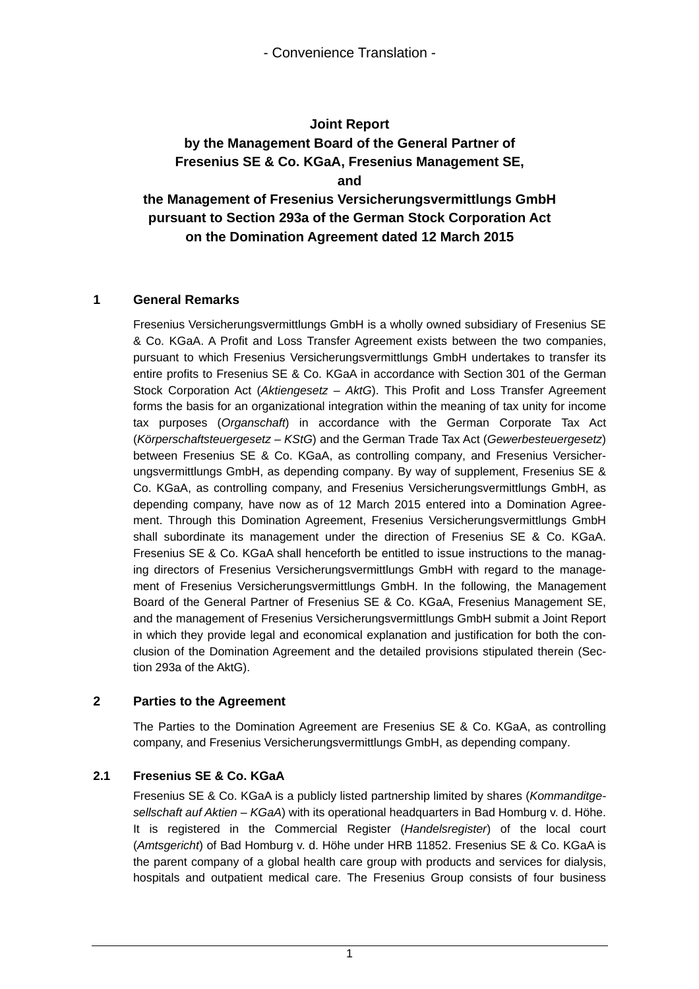## **Joint Report**

# **by the Management Board of the General Partner of Fresenius SE & Co. KGaA, Fresenius Management SE, and**

# **the Management of Fresenius Versicherungsvermittlungs GmbH pursuant to Section 293a of the German Stock Corporation Act on the Domination Agreement dated 12 March 2015**

#### **1 General Remarks**

Fresenius Versicherungsvermittlungs GmbH is a wholly owned subsidiary of Fresenius SE & Co. KGaA. A Profit and Loss Transfer Agreement exists between the two companies, pursuant to which Fresenius Versicherungsvermittlungs GmbH undertakes to transfer its entire profits to Fresenius SE & Co. KGaA in accordance with Section 301 of the German Stock Corporation Act (*Aktiengesetz – AktG*). This Profit and Loss Transfer Agreement forms the basis for an organizational integration within the meaning of tax unity for income tax purposes (*Organschaft*) in accordance with the German Corporate Tax Act (*Körperschaftsteuergesetz – KStG*) and the German Trade Tax Act (*Gewerbesteuergesetz*) between Fresenius SE & Co. KGaA, as controlling company, and Fresenius Versicherungsvermittlungs GmbH, as depending company. By way of supplement, Fresenius SE & Co. KGaA, as controlling company, and Fresenius Versicherungsvermittlungs GmbH, as depending company, have now as of 12 March 2015 entered into a Domination Agreement. Through this Domination Agreement, Fresenius Versicherungsvermittlungs GmbH shall subordinate its management under the direction of Fresenius SE & Co. KGaA. Fresenius SE & Co. KGaA shall henceforth be entitled to issue instructions to the managing directors of Fresenius Versicherungsvermittlungs GmbH with regard to the management of Fresenius Versicherungsvermittlungs GmbH. In the following, the Management Board of the General Partner of Fresenius SE & Co. KGaA, Fresenius Management SE, and the management of Fresenius Versicherungsvermittlungs GmbH submit a Joint Report in which they provide legal and economical explanation and justification for both the conclusion of the Domination Agreement and the detailed provisions stipulated therein (Section 293a of the AktG).

## **2 Parties to the Agreement**

The Parties to the Domination Agreement are Fresenius SE & Co. KGaA, as controlling company, and Fresenius Versicherungsvermittlungs GmbH, as depending company.

## **2.1 Fresenius SE & Co. KGaA**

Fresenius SE & Co. KGaA is a publicly listed partnership limited by shares (*Kommanditgesellschaft auf Aktien – KGaA*) with its operational headquarters in Bad Homburg v. d. Höhe. It is registered in the Commercial Register (*Handelsregister*) of the local court (*Amtsgericht*) of Bad Homburg v. d. Höhe under HRB 11852. Fresenius SE & Co. KGaA is the parent company of a global health care group with products and services for dialysis, hospitals and outpatient medical care. The Fresenius Group consists of four business

1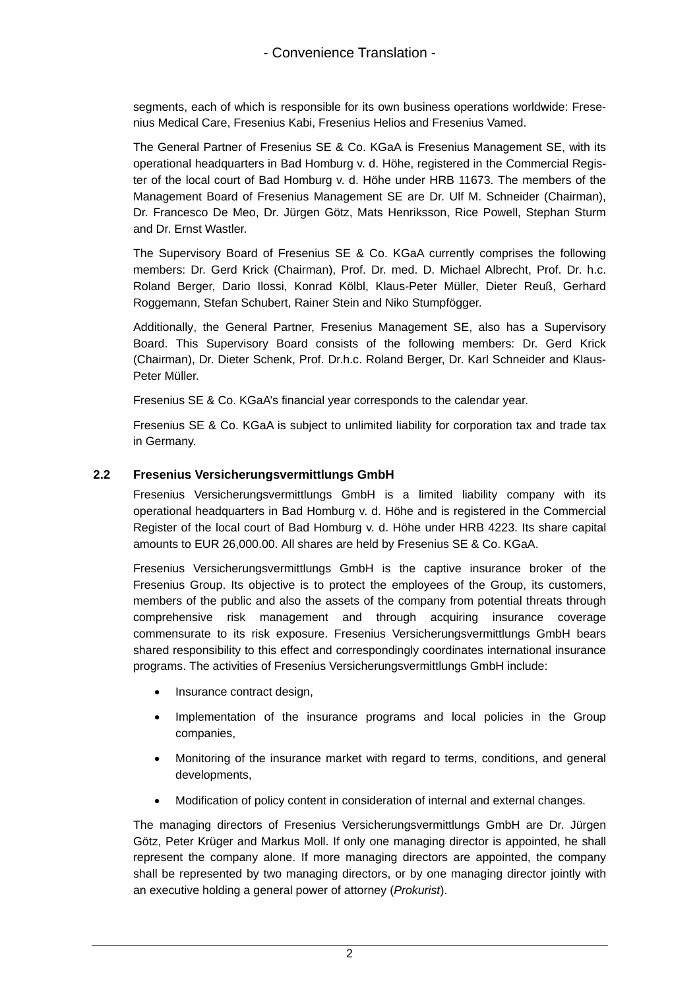segments, each of which is responsible for its own business operations worldwide: Fresenius Medical Care, Fresenius Kabi, Fresenius Helios and Fresenius Vamed.

The General Partner of Fresenius SE & Co. KGaA is Fresenius Management SE, with its operational headquarters in Bad Homburg v. d. Höhe, registered in the Commercial Register of the local court of Bad Homburg v. d. Höhe under HRB 11673. The members of the Management Board of Fresenius Management SE are Dr. Ulf M. Schneider (Chairman), Dr. Francesco De Meo, Dr. Jürgen Götz, Mats Henriksson, Rice Powell, Stephan Sturm and Dr. Ernst Wastler.

The Supervisory Board of Fresenius SE & Co. KGaA currently comprises the following members: Dr. Gerd Krick (Chairman), Prof. Dr. med. D. Michael Albrecht, Prof. Dr. h.c. Roland Berger, Dario Ilossi, Konrad Kölbl, Klaus-Peter Müller, Dieter Reuß, Gerhard Roggemann, Stefan Schubert, Rainer Stein and Niko Stumpfögger.

Additionally, the General Partner, Fresenius Management SE, also has a Supervisory Board. This Supervisory Board consists of the following members: Dr. Gerd Krick (Chairman), Dr. Dieter Schenk, Prof. Dr.h.c. Roland Berger, Dr. Karl Schneider and Klaus-Peter Müller.

Fresenius SE & Co. KGaA's financial year corresponds to the calendar year.

Fresenius SE & Co. KGaA is subject to unlimited liability for corporation tax and trade tax in Germany.

#### **2.2 Fresenius Versicherungsvermittlungs GmbH**

Fresenius Versicherungsvermittlungs GmbH is a limited liability company with its operational headquarters in Bad Homburg v. d. Höhe and is registered in the Commercial Register of the local court of Bad Homburg v. d. Höhe under HRB 4223. Its share capital amounts to EUR 26,000.00. All shares are held by Fresenius SE & Co. KGaA.

Fresenius Versicherungsvermittlungs GmbH is the captive insurance broker of the Fresenius Group. Its objective is to protect the employees of the Group, its customers, members of the public and also the assets of the company from potential threats through comprehensive risk management and through acquiring insurance coverage commensurate to its risk exposure. Fresenius Versicherungsvermittlungs GmbH bears shared responsibility to this effect and correspondingly coordinates international insurance programs. The activities of Fresenius Versicherungsvermittlungs GmbH include:

- Insurance contract design,
- Implementation of the insurance programs and local policies in the Group companies,
- Monitoring of the insurance market with regard to terms, conditions, and general developments,
- Modification of policy content in consideration of internal and external changes.

The managing directors of Fresenius Versicherungsvermittlungs GmbH are Dr. Jürgen Götz, Peter Krüger and Markus Moll. If only one managing director is appointed, he shall represent the company alone. If more managing directors are appointed, the company shall be represented by two managing directors, or by one managing director jointly with an executive holding a general power of attorney (*Prokurist*).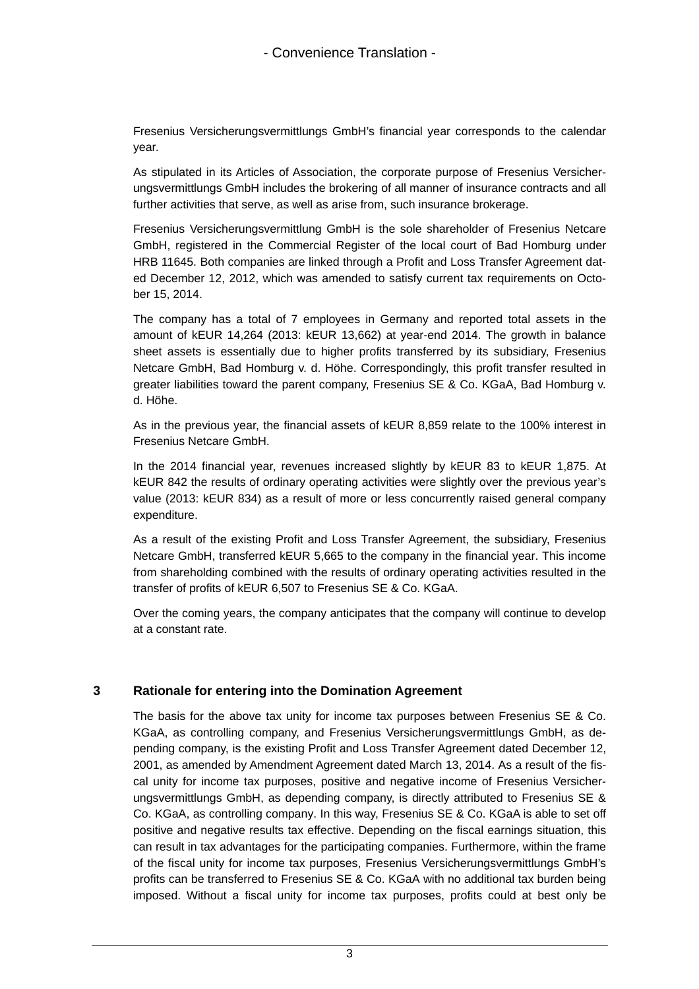Fresenius Versicherungsvermittlungs GmbH's financial year corresponds to the calendar year.

As stipulated in its Articles of Association, the corporate purpose of Fresenius Versicherungsvermittlungs GmbH includes the brokering of all manner of insurance contracts and all further activities that serve, as well as arise from, such insurance brokerage.

Fresenius Versicherungsvermittlung GmbH is the sole shareholder of Fresenius Netcare GmbH, registered in the Commercial Register of the local court of Bad Homburg under HRB 11645. Both companies are linked through a Profit and Loss Transfer Agreement dated December 12, 2012, which was amended to satisfy current tax requirements on October 15, 2014.

The company has a total of 7 employees in Germany and reported total assets in the amount of kEUR 14,264 (2013: kEUR 13,662) at year-end 2014. The growth in balance sheet assets is essentially due to higher profits transferred by its subsidiary, Fresenius Netcare GmbH, Bad Homburg v. d. Höhe. Correspondingly, this profit transfer resulted in greater liabilities toward the parent company, Fresenius SE & Co. KGaA, Bad Homburg v. d. Höhe.

As in the previous year, the financial assets of kEUR 8,859 relate to the 100% interest in Fresenius Netcare GmbH.

In the 2014 financial year, revenues increased slightly by kEUR 83 to kEUR 1,875. At kEUR 842 the results of ordinary operating activities were slightly over the previous year's value (2013: kEUR 834) as a result of more or less concurrently raised general company expenditure.

As a result of the existing Profit and Loss Transfer Agreement, the subsidiary, Fresenius Netcare GmbH, transferred kEUR 5,665 to the company in the financial year. This income from shareholding combined with the results of ordinary operating activities resulted in the transfer of profits of kEUR 6,507 to Fresenius SE & Co. KGaA.

Over the coming years, the company anticipates that the company will continue to develop at a constant rate.

#### **3 Rationale for entering into the Domination Agreement**

The basis for the above tax unity for income tax purposes between Fresenius SE & Co. KGaA, as controlling company, and Fresenius Versicherungsvermittlungs GmbH, as depending company, is the existing Profit and Loss Transfer Agreement dated December 12, 2001, as amended by Amendment Agreement dated March 13, 2014. As a result of the fiscal unity for income tax purposes, positive and negative income of Fresenius Versicherungsvermittlungs GmbH, as depending company, is directly attributed to Fresenius SE & Co. KGaA, as controlling company. In this way, Fresenius SE & Co. KGaA is able to set off positive and negative results tax effective. Depending on the fiscal earnings situation, this can result in tax advantages for the participating companies. Furthermore, within the frame of the fiscal unity for income tax purposes, Fresenius Versicherungsvermittlungs GmbH's profits can be transferred to Fresenius SE & Co. KGaA with no additional tax burden being imposed. Without a fiscal unity for income tax purposes, profits could at best only be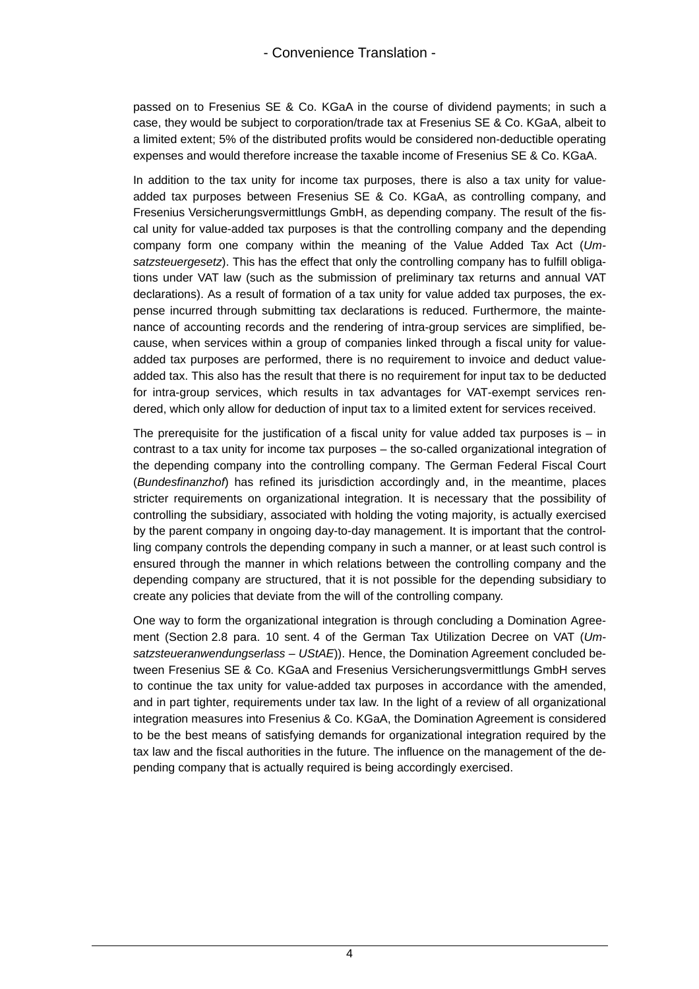passed on to Fresenius SE & Co. KGaA in the course of dividend payments; in such a case, they would be subject to corporation/trade tax at Fresenius SE & Co. KGaA, albeit to a limited extent; 5% of the distributed profits would be considered non-deductible operating expenses and would therefore increase the taxable income of Fresenius SE & Co. KGaA.

In addition to the tax unity for income tax purposes, there is also a tax unity for valueadded tax purposes between Fresenius SE & Co. KGaA, as controlling company, and Fresenius Versicherungsvermittlungs GmbH, as depending company. The result of the fiscal unity for value-added tax purposes is that the controlling company and the depending company form one company within the meaning of the Value Added Tax Act (*Umsatzsteuergesetz*). This has the effect that only the controlling company has to fulfill obligations under VAT law (such as the submission of preliminary tax returns and annual VAT declarations). As a result of formation of a tax unity for value added tax purposes, the expense incurred through submitting tax declarations is reduced. Furthermore, the maintenance of accounting records and the rendering of intra-group services are simplified, because, when services within a group of companies linked through a fiscal unity for valueadded tax purposes are performed, there is no requirement to invoice and deduct valueadded tax. This also has the result that there is no requirement for input tax to be deducted for intra-group services, which results in tax advantages for VAT-exempt services rendered, which only allow for deduction of input tax to a limited extent for services received.

The prerequisite for the justification of a fiscal unity for value added tax purposes is  $-$  in contrast to a tax unity for income tax purposes – the so-called organizational integration of the depending company into the controlling company. The German Federal Fiscal Court (*Bundesfinanzhof*) has refined its jurisdiction accordingly and, in the meantime, places stricter requirements on organizational integration. It is necessary that the possibility of controlling the subsidiary, associated with holding the voting majority, is actually exercised by the parent company in ongoing day-to-day management. It is important that the controlling company controls the depending company in such a manner, or at least such control is ensured through the manner in which relations between the controlling company and the depending company are structured, that it is not possible for the depending subsidiary to create any policies that deviate from the will of the controlling company.

One way to form the organizational integration is through concluding a Domination Agreement (Section 2.8 para. 10 sent. 4 of the German Tax Utilization Decree on VAT (*Umsatzsteueranwendungserlass – UStAE*)). Hence, the Domination Agreement concluded between Fresenius SE & Co. KGaA and Fresenius Versicherungsvermittlungs GmbH serves to continue the tax unity for value-added tax purposes in accordance with the amended, and in part tighter, requirements under tax law. In the light of a review of all organizational integration measures into Fresenius & Co. KGaA, the Domination Agreement is considered to be the best means of satisfying demands for organizational integration required by the tax law and the fiscal authorities in the future. The influence on the management of the depending company that is actually required is being accordingly exercised.

4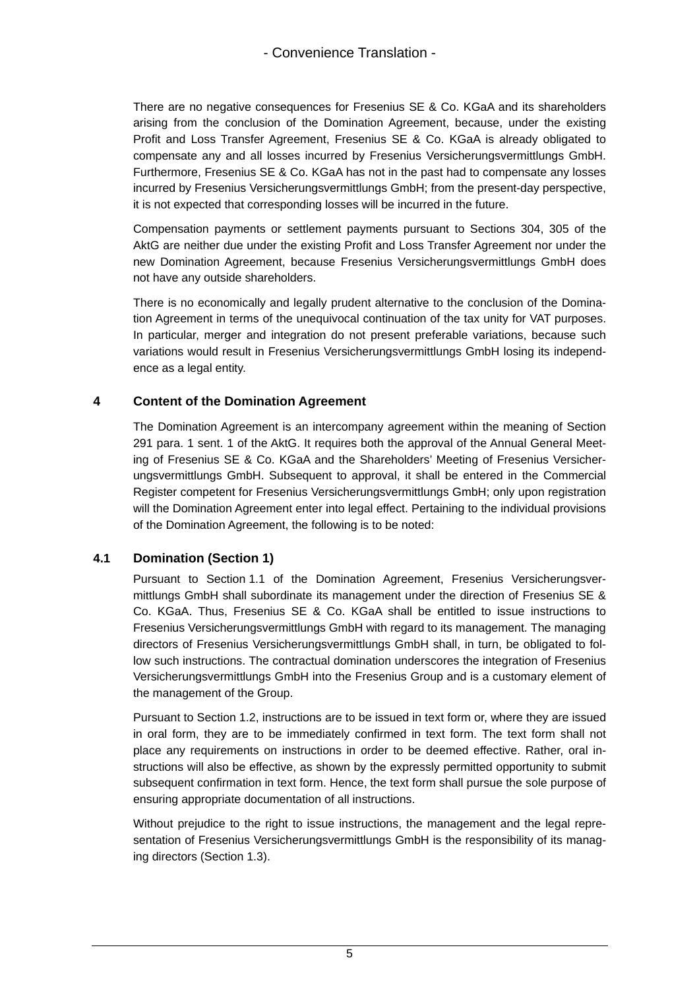There are no negative consequences for Fresenius SE & Co. KGaA and its shareholders arising from the conclusion of the Domination Agreement, because, under the existing Profit and Loss Transfer Agreement, Fresenius SE & Co. KGaA is already obligated to compensate any and all losses incurred by Fresenius Versicherungsvermittlungs GmbH. Furthermore, Fresenius SE & Co. KGaA has not in the past had to compensate any losses incurred by Fresenius Versicherungsvermittlungs GmbH; from the present-day perspective, it is not expected that corresponding losses will be incurred in the future.

Compensation payments or settlement payments pursuant to Sections 304, 305 of the AktG are neither due under the existing Profit and Loss Transfer Agreement nor under the new Domination Agreement, because Fresenius Versicherungsvermittlungs GmbH does not have any outside shareholders.

There is no economically and legally prudent alternative to the conclusion of the Domination Agreement in terms of the unequivocal continuation of the tax unity for VAT purposes. In particular, merger and integration do not present preferable variations, because such variations would result in Fresenius Versicherungsvermittlungs GmbH losing its independence as a legal entity.

#### **4 Content of the Domination Agreement**

The Domination Agreement is an intercompany agreement within the meaning of Section 291 para. 1 sent. 1 of the AktG. It requires both the approval of the Annual General Meeting of Fresenius SE & Co. KGaA and the Shareholders' Meeting of Fresenius Versicherungsvermittlungs GmbH. Subsequent to approval, it shall be entered in the Commercial Register competent for Fresenius Versicherungsvermittlungs GmbH; only upon registration will the Domination Agreement enter into legal effect. Pertaining to the individual provisions of the Domination Agreement, the following is to be noted:

#### **4.1 Domination (Section 1)**

Pursuant to Section 1.1 of the Domination Agreement, Fresenius Versicherungsvermittlungs GmbH shall subordinate its management under the direction of Fresenius SE & Co. KGaA. Thus, Fresenius SE & Co. KGaA shall be entitled to issue instructions to Fresenius Versicherungsvermittlungs GmbH with regard to its management. The managing directors of Fresenius Versicherungsvermittlungs GmbH shall, in turn, be obligated to follow such instructions. The contractual domination underscores the integration of Fresenius Versicherungsvermittlungs GmbH into the Fresenius Group and is a customary element of the management of the Group.

Pursuant to Section 1.2, instructions are to be issued in text form or, where they are issued in oral form, they are to be immediately confirmed in text form. The text form shall not place any requirements on instructions in order to be deemed effective. Rather, oral instructions will also be effective, as shown by the expressly permitted opportunity to submit subsequent confirmation in text form. Hence, the text form shall pursue the sole purpose of ensuring appropriate documentation of all instructions.

Without prejudice to the right to issue instructions, the management and the legal representation of Fresenius Versicherungsvermittlungs GmbH is the responsibility of its managing directors (Section 1.3).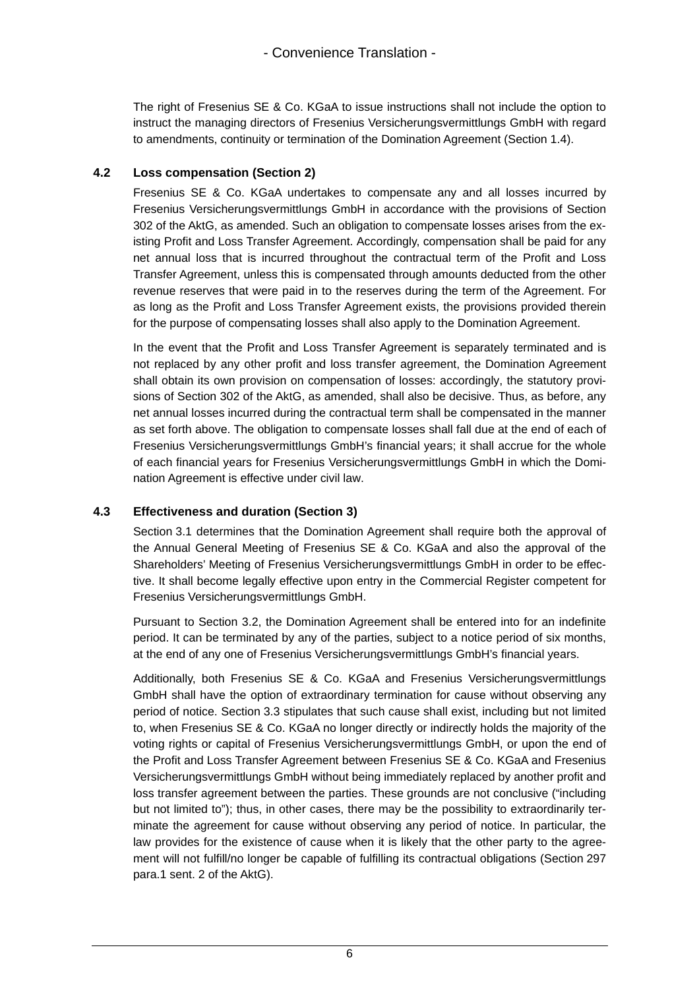The right of Fresenius SE & Co. KGaA to issue instructions shall not include the option to instruct the managing directors of Fresenius Versicherungsvermittlungs GmbH with regard to amendments, continuity or termination of the Domination Agreement (Section 1.4).

## **4.2 Loss compensation (Section 2)**

Fresenius SE & Co. KGaA undertakes to compensate any and all losses incurred by Fresenius Versicherungsvermittlungs GmbH in accordance with the provisions of Section 302 of the AktG, as amended. Such an obligation to compensate losses arises from the existing Profit and Loss Transfer Agreement. Accordingly, compensation shall be paid for any net annual loss that is incurred throughout the contractual term of the Profit and Loss Transfer Agreement, unless this is compensated through amounts deducted from the other revenue reserves that were paid in to the reserves during the term of the Agreement. For as long as the Profit and Loss Transfer Agreement exists, the provisions provided therein for the purpose of compensating losses shall also apply to the Domination Agreement.

In the event that the Profit and Loss Transfer Agreement is separately terminated and is not replaced by any other profit and loss transfer agreement, the Domination Agreement shall obtain its own provision on compensation of losses: accordingly, the statutory provisions of Section 302 of the AktG, as amended, shall also be decisive. Thus, as before, any net annual losses incurred during the contractual term shall be compensated in the manner as set forth above. The obligation to compensate losses shall fall due at the end of each of Fresenius Versicherungsvermittlungs GmbH's financial years; it shall accrue for the whole of each financial years for Fresenius Versicherungsvermittlungs GmbH in which the Domination Agreement is effective under civil law.

## **4.3 Effectiveness and duration (Section 3)**

Section 3.1 determines that the Domination Agreement shall require both the approval of the Annual General Meeting of Fresenius SE & Co. KGaA and also the approval of the Shareholders' Meeting of Fresenius Versicherungsvermittlungs GmbH in order to be effective. It shall become legally effective upon entry in the Commercial Register competent for Fresenius Versicherungsvermittlungs GmbH.

Pursuant to Section 3.2, the Domination Agreement shall be entered into for an indefinite period. It can be terminated by any of the parties, subject to a notice period of six months, at the end of any one of Fresenius Versicherungsvermittlungs GmbH's financial years.

Additionally, both Fresenius SE & Co. KGaA and Fresenius Versicherungsvermittlungs GmbH shall have the option of extraordinary termination for cause without observing any period of notice. Section 3.3 stipulates that such cause shall exist, including but not limited to, when Fresenius SE & Co. KGaA no longer directly or indirectly holds the majority of the voting rights or capital of Fresenius Versicherungsvermittlungs GmbH, or upon the end of the Profit and Loss Transfer Agreement between Fresenius SE & Co. KGaA and Fresenius Versicherungsvermittlungs GmbH without being immediately replaced by another profit and loss transfer agreement between the parties. These grounds are not conclusive ("including but not limited to"); thus, in other cases, there may be the possibility to extraordinarily terminate the agreement for cause without observing any period of notice. In particular, the law provides for the existence of cause when it is likely that the other party to the agreement will not fulfill/no longer be capable of fulfilling its contractual obligations (Section 297 para.1 sent. 2 of the AktG).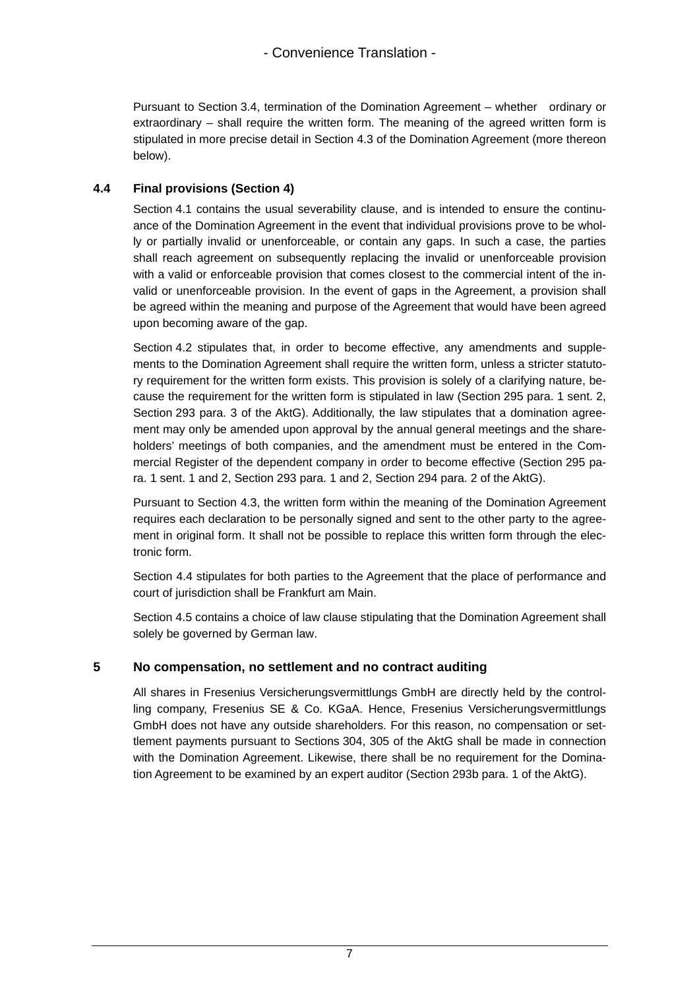Pursuant to Section 3.4, termination of the Domination Agreement – whether ordinary or extraordinary – shall require the written form. The meaning of the agreed written form is stipulated in more precise detail in Section 4.3 of the Domination Agreement (more thereon below).

#### **4.4 Final provisions (Section 4)**

Section 4.1 contains the usual severability clause, and is intended to ensure the continuance of the Domination Agreement in the event that individual provisions prove to be wholly or partially invalid or unenforceable, or contain any gaps. In such a case, the parties shall reach agreement on subsequently replacing the invalid or unenforceable provision with a valid or enforceable provision that comes closest to the commercial intent of the invalid or unenforceable provision. In the event of gaps in the Agreement, a provision shall be agreed within the meaning and purpose of the Agreement that would have been agreed upon becoming aware of the gap.

Section 4.2 stipulates that, in order to become effective, any amendments and supplements to the Domination Agreement shall require the written form, unless a stricter statutory requirement for the written form exists. This provision is solely of a clarifying nature, because the requirement for the written form is stipulated in law (Section 295 para. 1 sent. 2, Section 293 para. 3 of the AktG). Additionally, the law stipulates that a domination agreement may only be amended upon approval by the annual general meetings and the shareholders' meetings of both companies, and the amendment must be entered in the Commercial Register of the dependent company in order to become effective (Section 295 para. 1 sent. 1 and 2, Section 293 para. 1 and 2, Section 294 para. 2 of the AktG).

Pursuant to Section 4.3, the written form within the meaning of the Domination Agreement requires each declaration to be personally signed and sent to the other party to the agreement in original form. It shall not be possible to replace this written form through the electronic form.

Section 4.4 stipulates for both parties to the Agreement that the place of performance and court of jurisdiction shall be Frankfurt am Main.

Section 4.5 contains a choice of law clause stipulating that the Domination Agreement shall solely be governed by German law.

## **5 No compensation, no settlement and no contract auditing**

All shares in Fresenius Versicherungsvermittlungs GmbH are directly held by the controlling company, Fresenius SE & Co. KGaA. Hence, Fresenius Versicherungsvermittlungs GmbH does not have any outside shareholders. For this reason, no compensation or settlement payments pursuant to Sections 304, 305 of the AktG shall be made in connection with the Domination Agreement. Likewise, there shall be no requirement for the Domination Agreement to be examined by an expert auditor (Section 293b para. 1 of the AktG).